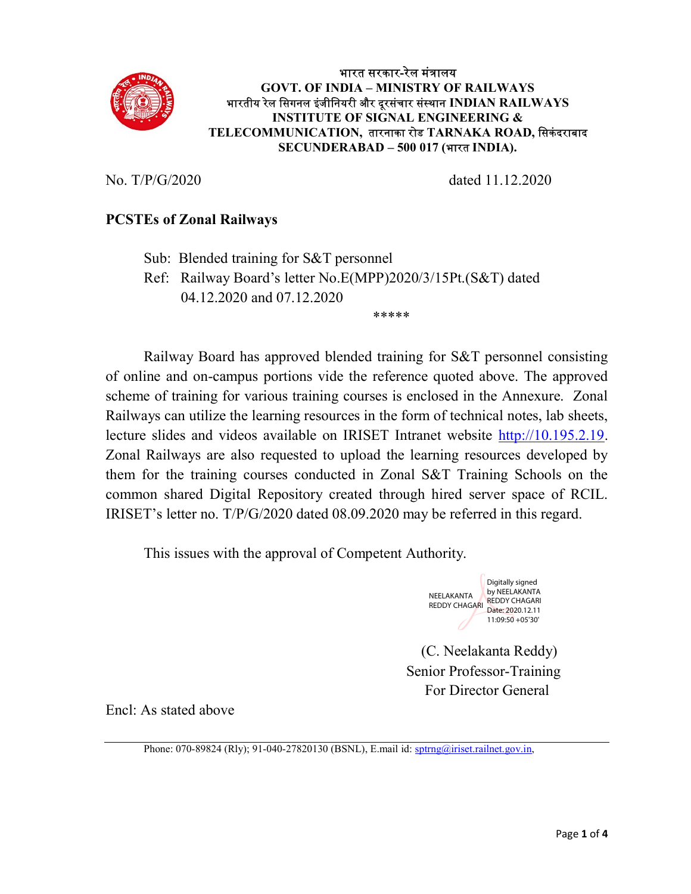

## भारत सरकार-रेल मंᮢालय GOVT. OF INDIA – MINISTRY OF RAILWAYS भारतीय रेल सिगनल इंजीनियरी और दूरसंचार संस्थान INDIAN RAILWAYS INSTITUTE OF SIGNAL ENGINEERING & TELECOMMUNICATION, तारनाका रोड TARNAKA ROAD, सिकंदराबाद SECUNDERABAD – 500 017 (भारत INDIA).

No. T/P/G/2020 dated 11.12.2020

# PCSTEs of Zonal Railways

Sub: Blended training for S&T personnel

\*\*\*\*\*

Ref: Railway Board's letter No.E(MPP)2020/3/15Pt.(S&T) dated 04.12.2020 and 07.12.2020

 Railway Board has approved blended training for S&T personnel consisting of online and on-campus portions vide the reference quoted above. The approved scheme of training for various training courses is enclosed in the Annexure. Zonal Railways can utilize the learning resources in the form of technical notes, lab sheets, lecture slides and videos available on IRISET Intranet website http://10.195.2.19. Zonal Railways are also requested to upload the learning resources developed by them for the training courses conducted in Zonal S&T Training Schools on the common shared Digital Repository created through hired server space of RCIL. IRISET's letter no. T/P/G/2020 dated 08.09.2020 may be referred in this regard.

This issues with the approval of Competent Authority.



 (C. Neelakanta Reddy) Senior Professor-Training For Director General

Encl: As stated above

Phone: 070-89824 (Rly); 91-040-27820130 (BSNL), E.mail id: sptrng@iriset.railnet.gov.in,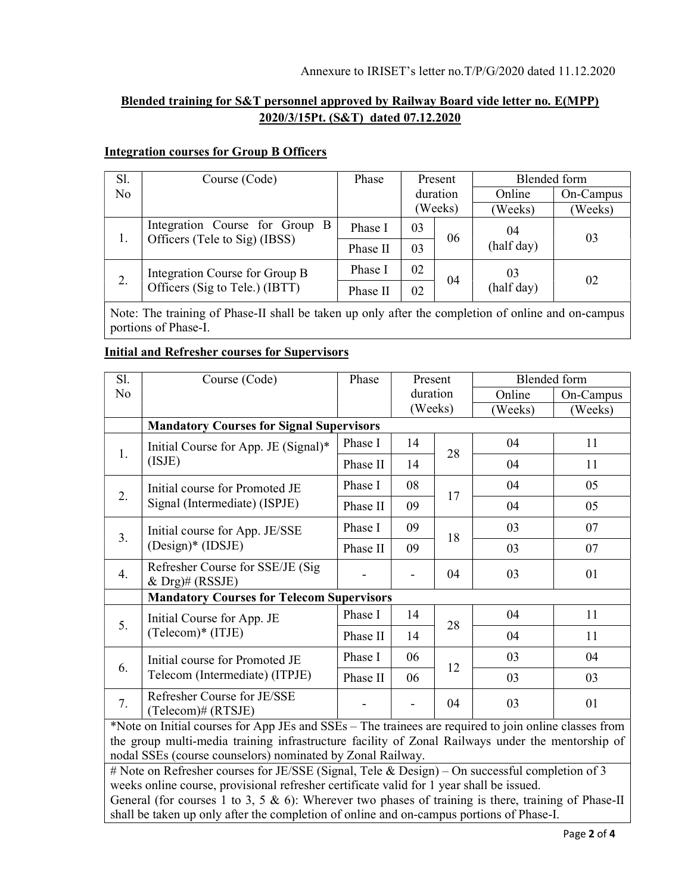# Blended training for S&T personnel approved by Railway Board vide letter no. E(MPP) 2020/3/15Pt. (S&T) dated 07.12.2020

#### Integration courses for Group B Officers

| Sl. | Course (Code)                                                    | Phase    | Present  |    | Blended form           |           |
|-----|------------------------------------------------------------------|----------|----------|----|------------------------|-----------|
| No  |                                                                  |          | duration |    | Online                 | On-Campus |
|     |                                                                  |          | (Weeks)  |    | (Weeks)                | (Weeks)   |
| 1.  | Integration Course for Group B<br>Officers (Tele to Sig) (IBSS)  | Phase I  | 03       | 06 | 04<br>(half day)       | 03        |
|     |                                                                  | Phase II | 03       |    |                        |           |
| 2.  | Integration Course for Group B<br>Officers (Sig to Tele.) (IBTT) | Phase I  | 02       | 04 | 03<br>02<br>(half day) |           |
|     |                                                                  | Phase II | 02       |    |                        |           |

Note: The training of Phase-II shall be taken up only after the completion of online and on-campus portions of Phase-I.

## Initial and Refresher courses for Supervisors

| Sl.                                              | Course (Code)                                                         | Phase    | Present  |    | <b>Blended</b> form |           |
|--------------------------------------------------|-----------------------------------------------------------------------|----------|----------|----|---------------------|-----------|
| No                                               |                                                                       |          | duration |    | Online              | On-Campus |
|                                                  |                                                                       |          | (Weeks)  |    | (Weeks)             | (Weeks)   |
|                                                  | <b>Mandatory Courses for Signal Supervisors</b>                       |          |          |    |                     |           |
| 1.                                               | Initial Course for App. JE (Signal)*<br>(ISJE)                        | Phase I  | 14       | 28 | 04                  | 11        |
|                                                  |                                                                       | Phase II | 14       |    | 04                  | 11        |
|                                                  | Initial course for Promoted JE<br>2.<br>Signal (Intermediate) (ISPJE) | Phase I  | 08       | 17 | 04                  | 05        |
|                                                  |                                                                       | Phase II | 09       |    | 04                  | 05        |
|                                                  | Initial course for App. JE/SSE<br>3.<br>(Design)* (IDSJE)             | Phase I  | 09       | 18 | 03                  | 07        |
|                                                  |                                                                       | Phase II | 09       |    | 03                  | 07        |
| $\overline{4}$ .                                 | Refresher Course for SSE/JE (Sig)<br>& $Drg$ <sup>#</sup> (RSSJE)     |          |          | 04 | 03                  | 01        |
| <b>Mandatory Courses for Telecom Supervisors</b> |                                                                       |          |          |    |                     |           |
| 5.                                               | Initial Course for App. JE<br>(Telecom)* (ITJE)                       | Phase I  | 14       | 28 | 04                  | 11        |
|                                                  |                                                                       | Phase II | 14       |    | 04                  | 11        |
| 6.                                               | Initial course for Promoted JE<br>Telecom (Intermediate) (ITPJE)      | Phase I  | 06       | 12 | 03                  | 04        |
|                                                  |                                                                       | Phase II | 06       |    | 03                  | 03        |
| 7.                                               | Refresher Course for JE/SSE<br>(Telecom)# (RTSJE)                     |          |          | 04 | 03                  | 01        |

\*Note on Initial courses for App JEs and SSEs – The trainees are required to join online classes from the group multi-media training infrastructure facility of Zonal Railways under the mentorship of nodal SSEs (course counselors) nominated by Zonal Railway.

# Note on Refresher courses for JE/SSE (Signal, Tele & Design) – On successful completion of 3 weeks online course, provisional refresher certificate valid for 1 year shall be issued.

General (for courses 1 to 3, 5  $\&$  6): Wherever two phases of training is there, training of Phase-II shall be taken up only after the completion of online and on-campus portions of Phase-I.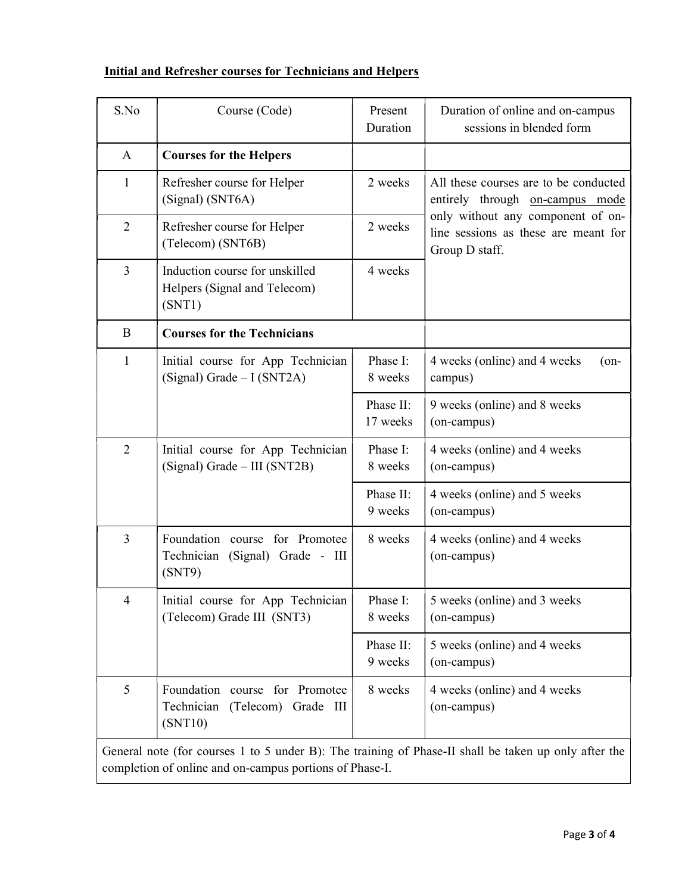|  |  | Initial and Refresher courses for Technicians and Helpers |
|--|--|-----------------------------------------------------------|
|  |  |                                                           |

| S.No                                                                                                                                                            | Course (Code)                                                                  | Present<br>Duration   | Duration of online and on-campus<br>sessions in blended form                                |  |
|-----------------------------------------------------------------------------------------------------------------------------------------------------------------|--------------------------------------------------------------------------------|-----------------------|---------------------------------------------------------------------------------------------|--|
| A                                                                                                                                                               | <b>Courses for the Helpers</b>                                                 |                       |                                                                                             |  |
| $\mathbf{1}$                                                                                                                                                    | Refresher course for Helper<br>(Signal) (SNT6A)                                | 2 weeks               | All these courses are to be conducted<br>entirely through on-campus mode                    |  |
| $\overline{2}$                                                                                                                                                  | Refresher course for Helper<br>(Telecom) (SNT6B)                               | 2 weeks               | only without any component of on-<br>line sessions as these are meant for<br>Group D staff. |  |
| $\overline{3}$                                                                                                                                                  | Induction course for unskilled<br>Helpers (Signal and Telecom)<br>(SNT1)       | 4 weeks               |                                                                                             |  |
| B                                                                                                                                                               | <b>Courses for the Technicians</b>                                             |                       |                                                                                             |  |
| 1                                                                                                                                                               | Initial course for App Technician<br>(Signal) Grade $-I$ (SNT2A)               | Phase I:<br>8 weeks   | 4 weeks (online) and 4 weeks<br>$($ on-<br>campus)                                          |  |
|                                                                                                                                                                 |                                                                                | Phase II:<br>17 weeks | 9 weeks (online) and 8 weeks<br>(on-campus)                                                 |  |
| $\overline{2}$                                                                                                                                                  | Initial course for App Technician<br>(Signal) Grade - III (SNT2B)              | Phase I:<br>8 weeks   | 4 weeks (online) and 4 weeks<br>(on-campus)                                                 |  |
|                                                                                                                                                                 |                                                                                | Phase II:<br>9 weeks  | 4 weeks (online) and 5 weeks<br>(on-campus)                                                 |  |
| $\overline{3}$                                                                                                                                                  | Foundation course for Promotee<br>Technician (Signal) Grade - III<br>(SNT9)    | 8 weeks               | 4 weeks (online) and 4 weeks<br>(on-campus)                                                 |  |
| 4                                                                                                                                                               | Initial course for App Technician<br>(Telecom) Grade III (SNT3)                | Phase I:<br>8 weeks   | 5 weeks (online) and 3 weeks<br>(on-campus)                                                 |  |
|                                                                                                                                                                 |                                                                                | Phase II:<br>9 weeks  | 5 weeks (online) and 4 weeks<br>(on-campus)                                                 |  |
| 5                                                                                                                                                               | Foundation course for Promotee<br>Technician<br>(Telecom) Grade III<br>(SNT10) | 8 weeks               | 4 weeks (online) and 4 weeks<br>(on-campus)                                                 |  |
| General note (for courses 1 to 5 under B): The training of Phase-II shall be taken up only after the<br>completion of online and on-campus portions of Phase-I. |                                                                                |                       |                                                                                             |  |